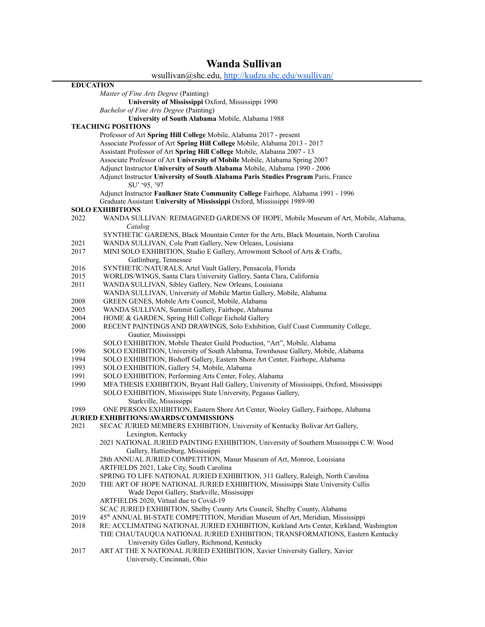## **Wanda Sullivan**

L,

|                  | wsullivan@shc.edu, http://kudzu.shc.edu/wsullivan/                                          |
|------------------|---------------------------------------------------------------------------------------------|
| <b>EDUCATION</b> |                                                                                             |
|                  | Master of Fine Arts Degree (Painting)                                                       |
|                  | University of Mississippi Oxford, Mississippi 1990                                          |
|                  | Bachelor of Fine Arts Degree (Painting)                                                     |
|                  | University of South Alabama Mobile, Alabama 1988                                            |
|                  | <b>TEACHING POSITIONS</b>                                                                   |
|                  | Professor of Art Spring Hill College Mobile, Alabama 2017 - present                         |
|                  | Associate Professor of Art Spring Hill College Mobile, Alabama 2013 - 2017                  |
|                  | Assistant Professor of Art Spring Hill College Mobile, Alabama 2007 - 13                    |
|                  | Associate Professor of Art University of Mobile Mobile, Alabama Spring 2007                 |
|                  | Adjunct Instructor University of South Alabama Mobile, Alabama 1990 - 2006                  |
|                  | Adjunct Instructor University of South Alabama Paris Studies Program Paris, France          |
|                  | SU' '95, '97                                                                                |
|                  | Adjunct Instructor Faulkner State Community College Fairhope, Alabama 1991 - 1996           |
|                  | Graduate Assistant University of Mississippi Oxford, Mississippi 1989-90                    |
|                  | <b>SOLO EXHIBITIONS</b>                                                                     |
| 2022             | WANDA SULLIVAN: REIMAGINED GARDENS OF HOPE, Mobile Museum of Art, Mobile, Alabama,          |
|                  | Catalog                                                                                     |
|                  | SYNTHETIC GARDENS, Black Mountain Center for the Arts, Black Mountain, North Carolina       |
| 2021             | WANDA SULLIVAN, Cole Pratt Gallery, New Orleans, Louisiana                                  |
| 2017             | MINI SOLO EXHIBITION, Studio E Gallery, Arrowmont School of Arts & Crafts,                  |
|                  | Gatlinburg, Tennessee                                                                       |
| 2016             | SYNTHETIC/NATURALS, Artel Vault Gallery, Pensacola, Florida                                 |
| 2015             | WORLDS/WINGS, Santa Clara University Gallery, Santa Clara, California                       |
| 2011             | WANDA SULLIVAN, Sibley Gallery, New Orleans, Louisiana                                      |
|                  | WANDA SULLIVAN, University of Mobile Martin Gallery, Mobile, Alabama                        |
| 2008             | GREEN GENES, Mobile Arts Council, Mobile, Alabama                                           |
| 2005             | WANDA SULLIVAN, Summit Gallery, Fairhope, Alabama                                           |
| 2004             | HOME & GARDEN, Spring Hill College Eichold Gallery                                          |
| 2000             | RECENT PAINTINGS AND DRAWINGS, Solo Exhibition, Gulf Coast Community College,               |
|                  | Gautier, Mississippi                                                                        |
|                  | SOLO EXHIBITION, Mobile Theater Guild Production, "Art", Mobile, Alabama                    |
| 1996             | SOLO EXHIBITION, University of South Alabama, Townhouse Gallery, Mobile, Alabama            |
| 1994             | SOLO EXHIBITION, Bishoff Gallery, Eastern Shore Art Center, Fairhope, Alabama               |
| 1993             | SOLO EXHIBITION, Gallery 54, Mobile, Alabama                                                |
| 1991             | SOLO EXHIBITION, Performing Arts Center, Foley, Alabama                                     |
| 1990             | MFA THESIS EXHIBITION, Bryant Hall Gallery, University of Mississippi, Oxford, Mississippi  |
|                  | SOLO EXHIBITION, Mississippi State University, Pegasus Gallery,                             |
|                  | Starkville, Mississippi                                                                     |
| 1989             | ONE PERSON EXHIBITION, Eastern Shore Art Center, Wooley Gallery, Fairhope, Alabama          |
|                  | <b>JURIED EXHIBITIONS/AWARDS/COMMISSIONS</b>                                                |
| 2021             | SECAC JURIED MEMBERS EXHIBITION, University of Kentucky Bolivar Art Gallery,                |
|                  | Lexington, Kentucky                                                                         |
|                  | 2021 NATIONAL JURIED PAINTING EXHIBITION, University of Southern Mississippi C.W. Wood      |
|                  | Gallery, Hattiesburg, Mississippi                                                           |
|                  | 28th ANNUAL JURIED COMPETITION, Masur Museum of Art, Monroe, Louisiana                      |
|                  | ARTFIELDS 2021, Lake City, South Carolina                                                   |
|                  | SPRING TO LIFE NATIONAL JURIED EXHIBITION, 311 Gallery, Raleigh, North Carolina             |
| 2020             | THE ART OF HOPE NATIONAL JURIED EXHIBITION, Mississippi State University Cullis             |
|                  | Wade Depot Gallery, Starkville, Mississippi                                                 |
|                  | ARTFIELDS 2020, Virtual due to Covid-19                                                     |
|                  | SCAC JURIED EXHIBITION, Shelby County Arts Council, Shelby County, Alabama                  |
| 2019             | 45 <sup>th</sup> ANNUAL BI-STATE COMPETITION, Meridian Museum of Art, Meridian, Mississippi |
| 2018             | RE: ACCLIMATING NATIONAL JURIED EXHIBITION, Kirkland Arts Center, Kirkland, Washington      |
|                  | THE CHAUTAUQUA NATIONAL JURIED EXHIBITION; TRANSFORMATIONS, Eastern Kentucky                |
|                  | University Giles Gallery, Richmond, Kentucky                                                |
| 2017             | ART AT THE X NATIONAL JURIED EXHIBITION, Xavier University Gallery, Xavier                  |
|                  | University, Cincinnati, Ohio                                                                |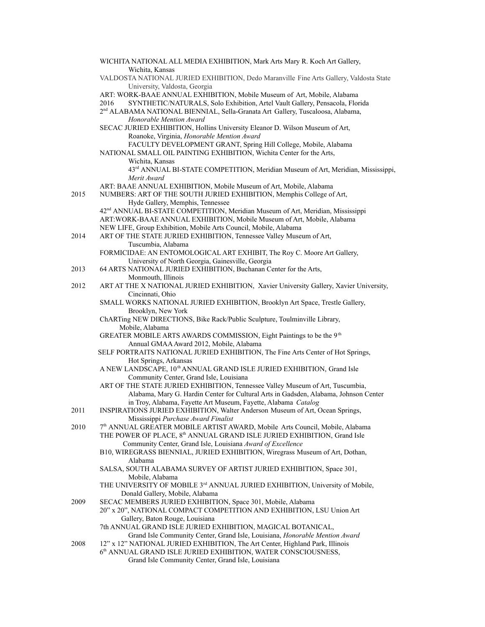|      | WICHITA NATIONAL ALL MEDIA EXHIBITION, Mark Arts Mary R. Koch Art Gallery,                                                 |
|------|----------------------------------------------------------------------------------------------------------------------------|
|      | Wichita, Kansas                                                                                                            |
|      | VALDOSTA NATIONAL JURIED EXHIBITION, Dedo Maranville Fine Arts Gallery, Valdosta State                                     |
|      | University, Valdosta, Georgia<br>ART: WORK-BAAE ANNUAL EXHIBITION, Mobile Museum of Art, Mobile, Alabama                   |
|      | SYNTHETIC/NATURALS, Solo Exhibition, Artel Vault Gallery, Pensacola, Florida<br>2016                                       |
|      | 2 <sup>nd</sup> ALABAMA NATIONAL BIENNIAL, Sella-Granata Art Gallery, Tuscaloosa, Alabama,                                 |
|      | Honorable Mention Award                                                                                                    |
|      | SECAC JURIED EXHIBITION, Hollins University Eleanor D. Wilson Museum of Art,                                               |
|      | Roanoke, Virginia, Honorable Mention Award                                                                                 |
|      | FACULTY DEVELOPMENT GRANT, Spring Hill College, Mobile, Alabama                                                            |
|      | NATIONAL SMALL OIL PAINTING EXHIBITION, Wichita Center for the Arts,                                                       |
|      | Wichita, Kansas                                                                                                            |
|      | 43rd ANNUAL BI-STATE COMPETITION, Meridian Museum of Art, Meridian, Mississippi,                                           |
|      | Merit Award                                                                                                                |
|      | ART: BAAE ANNUAL EXHIBITION, Mobile Museum of Art, Mobile, Alabama                                                         |
| 2015 | NUMBERS: ART OF THE SOUTH JURIED EXHIBITION, Memphis College of Art,                                                       |
|      | Hyde Gallery, Memphis, Tennessee                                                                                           |
|      | 42 <sup>nd</sup> ANNUAL BI-STATE COMPETITION, Meridian Museum of Art, Meridian, Mississippi                                |
|      | ART: WORK-BAAE ANNUAL EXHIBITION, Mobile Museum of Art, Mobile, Alabama                                                    |
|      | NEW LIFE, Group Exhibition, Mobile Arts Council, Mobile, Alabama                                                           |
| 2014 | ART OF THE STATE JURIED EXHIBITION, Tennessee Valley Museum of Art,<br>Tuscumbia, Alabama                                  |
|      | FORMICIDAE: AN ENTOMOLOGICAL ART EXHIBIT, The Roy C. Moore Art Gallery,                                                    |
|      | University of North Georgia, Gainesville, Georgia                                                                          |
| 2013 | 64 ARTS NATIONAL JURIED EXHIBITION, Buchanan Center for the Arts,                                                          |
|      | Monmouth, Illinois                                                                                                         |
| 2012 | ART AT THE X NATIONAL JURIED EXHIBITION, Xavier University Gallery, Xavier University,                                     |
|      | Cincinnati, Ohio                                                                                                           |
|      | SMALL WORKS NATIONAL JURIED EXHIBITION, Brooklyn Art Space, Trestle Gallery,                                               |
|      | Brooklyn, New York                                                                                                         |
|      | ChARTing NEW DIRECTIONS, Bike Rack/Public Sculpture, Toulminville Library,                                                 |
|      | Mobile, Alabama                                                                                                            |
|      | GREATER MOBILE ARTS AWARDS COMMISSION, Eight Paintings to be the 9 <sup>th</sup>                                           |
|      | Annual GMAA Award 2012, Mobile, Alabama<br>SELF PORTRAITS NATIONAL JURIED EXHIBITION, The Fine Arts Center of Hot Springs, |
|      | Hot Springs, Arkansas                                                                                                      |
|      | A NEW LANDSCAPE, 10 <sup>th</sup> ANNUAL GRAND ISLE JURIED EXHIBITION, Grand Isle                                          |
|      | Community Center, Grand Isle, Louisiana                                                                                    |
|      | ART OF THE STATE JURIED EXHIBITION, Tennessee Valley Museum of Art, Tuscumbia,                                             |
|      | Alabama, Mary G. Hardin Center for Cultural Arts in Gadsden, Alabama, Johnson Center                                       |
|      | in Troy, Alabama, Fayette Art Museum, Fayette, Alabama Catalog                                                             |
| 2011 | INSPIRATIONS JURIED EXHIBITION, Walter Anderson Museum of Art, Ocean Springs,                                              |
|      | Mississippi Purchase Award Finalist                                                                                        |
| 2010 | 7 <sup>th</sup> ANNUAL GREATER MOBILE ARTIST AWARD, Mobile Arts Council, Mobile, Alabama                                   |
|      | THE POWER OF PLACE, 8 <sup>th</sup> ANNUAL GRAND ISLE JURIED EXHIBITION, Grand Isle                                        |
|      | Community Center, Grand Isle, Louisiana Award of Excellence                                                                |
|      | B10, WIREGRASS BIENNIAL, JURIED EXHIBITION, Wiregrass Museum of Art, Dothan,<br>Alabama                                    |
|      | SALSA, SOUTH ALABAMA SURVEY OF ARTIST JURIED EXHIBITION, Space 301,                                                        |
|      | Mobile, Alabama                                                                                                            |
|      | THE UNIVERSITY OF MOBILE 3 <sup>rd</sup> ANNUAL JURIED EXHIBITION, University of Mobile,                                   |
|      | Donald Gallery, Mobile, Alabama                                                                                            |
| 2009 | SECAC MEMBERS JURIED EXHIBITION, Space 301, Mobile, Alabama                                                                |
|      | 20" x 20", NATIONAL COMPACT COMPETITION AND EXHIBITION, LSU Union Art                                                      |
|      | Gallery, Baton Rouge, Louisiana                                                                                            |
|      | 7th ANNUAL GRAND ISLE JURIED EXHIBITION, MAGICAL BOTANICAL,                                                                |
|      | Grand Isle Community Center, Grand Isle, Louisiana, Honorable Mention Award                                                |
| 2008 | 12" x 12" NATIONAL JURIED EXHIBITION, The Art Center, Highland Park, Illinois                                              |
|      | 6th ANNUAL GRAND ISLE JURIED EXHIBITION, WATER CONSCIOUSNESS,                                                              |
|      | Grand Isle Community Center, Grand Isle, Louisiana                                                                         |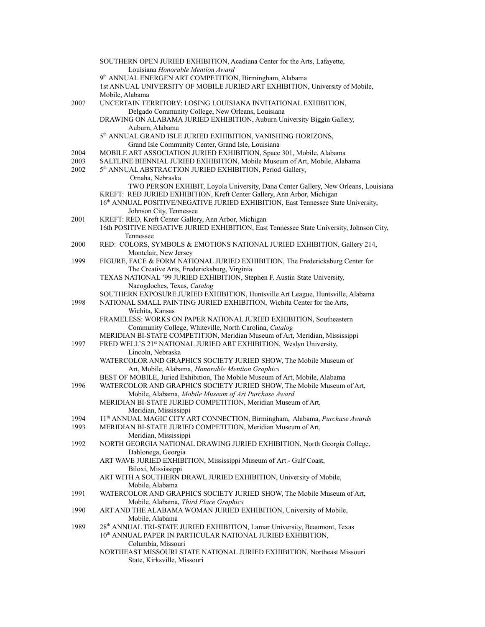| Louisiana Honorable Mention Award<br>9 <sup>th</sup> ANNUAL ENERGEN ART COMPETITION, Birmingham, Alabama<br>1st ANNUAL UNIVERSITY OF MOBILE JURIED ART EXHIBITION, University of Mobile,<br>Mobile, Alabama<br>UNCERTAIN TERRITORY: LOSING LOUISIANA INVITATIONAL EXHIBITION,<br>2007<br>Delgado Community College, New Orleans, Louisiana<br>DRAWING ON ALABAMA JURIED EXHIBITION, Auburn University Biggin Gallery,<br>Auburn, Alabama<br>5 <sup>th</sup> ANNUAL GRAND ISLE JURIED EXHIBITION, VANISHING HORIZONS,<br>Grand Isle Community Center, Grand Isle, Louisiana<br>MOBILE ART ASSOCIATION JURIED EXHIBITION, Space 301, Mobile, Alabama<br>2004<br>SALTLINE BIENNIAL JURIED EXHIBITION, Mobile Museum of Art, Mobile, Alabama<br>2003<br>2002<br>5 <sup>th</sup> ANNUAL ABSTRACTION JURIED EXHIBITION, Period Gallery,<br>Omaha, Nebraska<br>KREFT: RED JURIED EXHIBITION, Kreft Center Gallery, Ann Arbor, Michigan<br>16th ANNUAL POSITIVE/NEGATIVE JURIED EXHIBITION, East Tennessee State University,<br>Johnson City, Tennessee<br>KREFT: RED, Kreft Center Gallery, Ann Arbor, Michigan<br>2001<br>16th POSITIVE NEGATIVE JURIED EXHIBITION, East Tennessee State University, Johnson City,<br>Tennessee<br>RED: COLORS, SYMBOLS & EMOTIONS NATIONAL JURIED EXHIBITION, Gallery 214,<br>2000<br>Montclair, New Jersey<br>FIGURE, FACE & FORM NATIONAL JURIED EXHIBITION, The Fredericksburg Center for<br>1999<br>The Creative Arts, Fredericksburg, Virginia<br>TEXAS NATIONAL '99 JURIED EXHIBITION, Stephen F. Austin State University,<br>Nacogdoches, Texas, Catalog<br>SOUTHERN EXPOSURE JURIED EXHIBITION, Huntsville Art League, Huntsville, Alabama<br>NATIONAL SMALL PAINTING JURIED EXHIBITION, Wichita Center for the Arts,<br>1998 | TWO PERSON EXHIBIT, Loyola University, Dana Center Gallery, New Orleans, Louisiana |
|------------------------------------------------------------------------------------------------------------------------------------------------------------------------------------------------------------------------------------------------------------------------------------------------------------------------------------------------------------------------------------------------------------------------------------------------------------------------------------------------------------------------------------------------------------------------------------------------------------------------------------------------------------------------------------------------------------------------------------------------------------------------------------------------------------------------------------------------------------------------------------------------------------------------------------------------------------------------------------------------------------------------------------------------------------------------------------------------------------------------------------------------------------------------------------------------------------------------------------------------------------------------------------------------------------------------------------------------------------------------------------------------------------------------------------------------------------------------------------------------------------------------------------------------------------------------------------------------------------------------------------------------------------------------------------------------------------------------------------------------------------------|------------------------------------------------------------------------------------|
|                                                                                                                                                                                                                                                                                                                                                                                                                                                                                                                                                                                                                                                                                                                                                                                                                                                                                                                                                                                                                                                                                                                                                                                                                                                                                                                                                                                                                                                                                                                                                                                                                                                                                                                                                                  |                                                                                    |
|                                                                                                                                                                                                                                                                                                                                                                                                                                                                                                                                                                                                                                                                                                                                                                                                                                                                                                                                                                                                                                                                                                                                                                                                                                                                                                                                                                                                                                                                                                                                                                                                                                                                                                                                                                  |                                                                                    |
|                                                                                                                                                                                                                                                                                                                                                                                                                                                                                                                                                                                                                                                                                                                                                                                                                                                                                                                                                                                                                                                                                                                                                                                                                                                                                                                                                                                                                                                                                                                                                                                                                                                                                                                                                                  |                                                                                    |
|                                                                                                                                                                                                                                                                                                                                                                                                                                                                                                                                                                                                                                                                                                                                                                                                                                                                                                                                                                                                                                                                                                                                                                                                                                                                                                                                                                                                                                                                                                                                                                                                                                                                                                                                                                  |                                                                                    |
|                                                                                                                                                                                                                                                                                                                                                                                                                                                                                                                                                                                                                                                                                                                                                                                                                                                                                                                                                                                                                                                                                                                                                                                                                                                                                                                                                                                                                                                                                                                                                                                                                                                                                                                                                                  |                                                                                    |
|                                                                                                                                                                                                                                                                                                                                                                                                                                                                                                                                                                                                                                                                                                                                                                                                                                                                                                                                                                                                                                                                                                                                                                                                                                                                                                                                                                                                                                                                                                                                                                                                                                                                                                                                                                  |                                                                                    |
|                                                                                                                                                                                                                                                                                                                                                                                                                                                                                                                                                                                                                                                                                                                                                                                                                                                                                                                                                                                                                                                                                                                                                                                                                                                                                                                                                                                                                                                                                                                                                                                                                                                                                                                                                                  |                                                                                    |
|                                                                                                                                                                                                                                                                                                                                                                                                                                                                                                                                                                                                                                                                                                                                                                                                                                                                                                                                                                                                                                                                                                                                                                                                                                                                                                                                                                                                                                                                                                                                                                                                                                                                                                                                                                  |                                                                                    |
|                                                                                                                                                                                                                                                                                                                                                                                                                                                                                                                                                                                                                                                                                                                                                                                                                                                                                                                                                                                                                                                                                                                                                                                                                                                                                                                                                                                                                                                                                                                                                                                                                                                                                                                                                                  |                                                                                    |
|                                                                                                                                                                                                                                                                                                                                                                                                                                                                                                                                                                                                                                                                                                                                                                                                                                                                                                                                                                                                                                                                                                                                                                                                                                                                                                                                                                                                                                                                                                                                                                                                                                                                                                                                                                  |                                                                                    |
|                                                                                                                                                                                                                                                                                                                                                                                                                                                                                                                                                                                                                                                                                                                                                                                                                                                                                                                                                                                                                                                                                                                                                                                                                                                                                                                                                                                                                                                                                                                                                                                                                                                                                                                                                                  |                                                                                    |
|                                                                                                                                                                                                                                                                                                                                                                                                                                                                                                                                                                                                                                                                                                                                                                                                                                                                                                                                                                                                                                                                                                                                                                                                                                                                                                                                                                                                                                                                                                                                                                                                                                                                                                                                                                  |                                                                                    |
|                                                                                                                                                                                                                                                                                                                                                                                                                                                                                                                                                                                                                                                                                                                                                                                                                                                                                                                                                                                                                                                                                                                                                                                                                                                                                                                                                                                                                                                                                                                                                                                                                                                                                                                                                                  |                                                                                    |
|                                                                                                                                                                                                                                                                                                                                                                                                                                                                                                                                                                                                                                                                                                                                                                                                                                                                                                                                                                                                                                                                                                                                                                                                                                                                                                                                                                                                                                                                                                                                                                                                                                                                                                                                                                  |                                                                                    |
|                                                                                                                                                                                                                                                                                                                                                                                                                                                                                                                                                                                                                                                                                                                                                                                                                                                                                                                                                                                                                                                                                                                                                                                                                                                                                                                                                                                                                                                                                                                                                                                                                                                                                                                                                                  |                                                                                    |
|                                                                                                                                                                                                                                                                                                                                                                                                                                                                                                                                                                                                                                                                                                                                                                                                                                                                                                                                                                                                                                                                                                                                                                                                                                                                                                                                                                                                                                                                                                                                                                                                                                                                                                                                                                  |                                                                                    |
|                                                                                                                                                                                                                                                                                                                                                                                                                                                                                                                                                                                                                                                                                                                                                                                                                                                                                                                                                                                                                                                                                                                                                                                                                                                                                                                                                                                                                                                                                                                                                                                                                                                                                                                                                                  |                                                                                    |
|                                                                                                                                                                                                                                                                                                                                                                                                                                                                                                                                                                                                                                                                                                                                                                                                                                                                                                                                                                                                                                                                                                                                                                                                                                                                                                                                                                                                                                                                                                                                                                                                                                                                                                                                                                  |                                                                                    |
|                                                                                                                                                                                                                                                                                                                                                                                                                                                                                                                                                                                                                                                                                                                                                                                                                                                                                                                                                                                                                                                                                                                                                                                                                                                                                                                                                                                                                                                                                                                                                                                                                                                                                                                                                                  |                                                                                    |
|                                                                                                                                                                                                                                                                                                                                                                                                                                                                                                                                                                                                                                                                                                                                                                                                                                                                                                                                                                                                                                                                                                                                                                                                                                                                                                                                                                                                                                                                                                                                                                                                                                                                                                                                                                  |                                                                                    |
|                                                                                                                                                                                                                                                                                                                                                                                                                                                                                                                                                                                                                                                                                                                                                                                                                                                                                                                                                                                                                                                                                                                                                                                                                                                                                                                                                                                                                                                                                                                                                                                                                                                                                                                                                                  |                                                                                    |
|                                                                                                                                                                                                                                                                                                                                                                                                                                                                                                                                                                                                                                                                                                                                                                                                                                                                                                                                                                                                                                                                                                                                                                                                                                                                                                                                                                                                                                                                                                                                                                                                                                                                                                                                                                  |                                                                                    |
|                                                                                                                                                                                                                                                                                                                                                                                                                                                                                                                                                                                                                                                                                                                                                                                                                                                                                                                                                                                                                                                                                                                                                                                                                                                                                                                                                                                                                                                                                                                                                                                                                                                                                                                                                                  |                                                                                    |
|                                                                                                                                                                                                                                                                                                                                                                                                                                                                                                                                                                                                                                                                                                                                                                                                                                                                                                                                                                                                                                                                                                                                                                                                                                                                                                                                                                                                                                                                                                                                                                                                                                                                                                                                                                  |                                                                                    |
|                                                                                                                                                                                                                                                                                                                                                                                                                                                                                                                                                                                                                                                                                                                                                                                                                                                                                                                                                                                                                                                                                                                                                                                                                                                                                                                                                                                                                                                                                                                                                                                                                                                                                                                                                                  |                                                                                    |
|                                                                                                                                                                                                                                                                                                                                                                                                                                                                                                                                                                                                                                                                                                                                                                                                                                                                                                                                                                                                                                                                                                                                                                                                                                                                                                                                                                                                                                                                                                                                                                                                                                                                                                                                                                  |                                                                                    |
|                                                                                                                                                                                                                                                                                                                                                                                                                                                                                                                                                                                                                                                                                                                                                                                                                                                                                                                                                                                                                                                                                                                                                                                                                                                                                                                                                                                                                                                                                                                                                                                                                                                                                                                                                                  |                                                                                    |
|                                                                                                                                                                                                                                                                                                                                                                                                                                                                                                                                                                                                                                                                                                                                                                                                                                                                                                                                                                                                                                                                                                                                                                                                                                                                                                                                                                                                                                                                                                                                                                                                                                                                                                                                                                  |                                                                                    |
| Wichita, Kansas<br>FRAMELESS: WORKS ON PAPER NATIONAL JURIED EXHIBITION, Southeastern                                                                                                                                                                                                                                                                                                                                                                                                                                                                                                                                                                                                                                                                                                                                                                                                                                                                                                                                                                                                                                                                                                                                                                                                                                                                                                                                                                                                                                                                                                                                                                                                                                                                            |                                                                                    |
| Community College, Whiteville, North Carolina, Catalog                                                                                                                                                                                                                                                                                                                                                                                                                                                                                                                                                                                                                                                                                                                                                                                                                                                                                                                                                                                                                                                                                                                                                                                                                                                                                                                                                                                                                                                                                                                                                                                                                                                                                                           |                                                                                    |
| MERIDIAN BI-STATE COMPETITION, Meridian Museum of Art, Meridian, Mississippi                                                                                                                                                                                                                                                                                                                                                                                                                                                                                                                                                                                                                                                                                                                                                                                                                                                                                                                                                                                                                                                                                                                                                                                                                                                                                                                                                                                                                                                                                                                                                                                                                                                                                     |                                                                                    |
| FRED WELL'S 21 <sup>st</sup> NATIONAL JURIED ART EXHIBITION, Weslyn University,<br>1997                                                                                                                                                                                                                                                                                                                                                                                                                                                                                                                                                                                                                                                                                                                                                                                                                                                                                                                                                                                                                                                                                                                                                                                                                                                                                                                                                                                                                                                                                                                                                                                                                                                                          |                                                                                    |
| Lincoln, Nebraska                                                                                                                                                                                                                                                                                                                                                                                                                                                                                                                                                                                                                                                                                                                                                                                                                                                                                                                                                                                                                                                                                                                                                                                                                                                                                                                                                                                                                                                                                                                                                                                                                                                                                                                                                |                                                                                    |
| WATERCOLOR AND GRAPHICS SOCIETY JURIED SHOW, The Mobile Museum of                                                                                                                                                                                                                                                                                                                                                                                                                                                                                                                                                                                                                                                                                                                                                                                                                                                                                                                                                                                                                                                                                                                                                                                                                                                                                                                                                                                                                                                                                                                                                                                                                                                                                                |                                                                                    |
| Art, Mobile, Alabama, Honorable Mention Graphics                                                                                                                                                                                                                                                                                                                                                                                                                                                                                                                                                                                                                                                                                                                                                                                                                                                                                                                                                                                                                                                                                                                                                                                                                                                                                                                                                                                                                                                                                                                                                                                                                                                                                                                 |                                                                                    |
| BEST OF MOBILE, Juried Exhibition, The Mobile Museum of Art, Mobile, Alabama                                                                                                                                                                                                                                                                                                                                                                                                                                                                                                                                                                                                                                                                                                                                                                                                                                                                                                                                                                                                                                                                                                                                                                                                                                                                                                                                                                                                                                                                                                                                                                                                                                                                                     |                                                                                    |
| WATERCOLOR AND GRAPHICS SOCIETY JURIED SHOW, The Mobile Museum of Art,<br>1996                                                                                                                                                                                                                                                                                                                                                                                                                                                                                                                                                                                                                                                                                                                                                                                                                                                                                                                                                                                                                                                                                                                                                                                                                                                                                                                                                                                                                                                                                                                                                                                                                                                                                   |                                                                                    |
| Mobile, Alabama, Mobile Museum of Art Purchase Award                                                                                                                                                                                                                                                                                                                                                                                                                                                                                                                                                                                                                                                                                                                                                                                                                                                                                                                                                                                                                                                                                                                                                                                                                                                                                                                                                                                                                                                                                                                                                                                                                                                                                                             |                                                                                    |
| MERIDIAN BI-STATE JURIED COMPETITION, Meridian Museum of Art,                                                                                                                                                                                                                                                                                                                                                                                                                                                                                                                                                                                                                                                                                                                                                                                                                                                                                                                                                                                                                                                                                                                                                                                                                                                                                                                                                                                                                                                                                                                                                                                                                                                                                                    |                                                                                    |
| Meridian, Mississippi                                                                                                                                                                                                                                                                                                                                                                                                                                                                                                                                                                                                                                                                                                                                                                                                                                                                                                                                                                                                                                                                                                                                                                                                                                                                                                                                                                                                                                                                                                                                                                                                                                                                                                                                            |                                                                                    |
| 11 <sup>th</sup> ANNUAL MAGIC CITY ART CONNECTION, Birmingham, Alabama, Purchase Awards<br>1994                                                                                                                                                                                                                                                                                                                                                                                                                                                                                                                                                                                                                                                                                                                                                                                                                                                                                                                                                                                                                                                                                                                                                                                                                                                                                                                                                                                                                                                                                                                                                                                                                                                                  |                                                                                    |
| 1993<br>MERIDIAN BI-STATE JURIED COMPETITION, Meridian Museum of Art,                                                                                                                                                                                                                                                                                                                                                                                                                                                                                                                                                                                                                                                                                                                                                                                                                                                                                                                                                                                                                                                                                                                                                                                                                                                                                                                                                                                                                                                                                                                                                                                                                                                                                            |                                                                                    |
| Meridian, Mississippi                                                                                                                                                                                                                                                                                                                                                                                                                                                                                                                                                                                                                                                                                                                                                                                                                                                                                                                                                                                                                                                                                                                                                                                                                                                                                                                                                                                                                                                                                                                                                                                                                                                                                                                                            |                                                                                    |
| NORTH GEORGIA NATIONAL DRAWING JURIED EXHIBITION, North Georgia College,<br>1992                                                                                                                                                                                                                                                                                                                                                                                                                                                                                                                                                                                                                                                                                                                                                                                                                                                                                                                                                                                                                                                                                                                                                                                                                                                                                                                                                                                                                                                                                                                                                                                                                                                                                 |                                                                                    |
| Dahlonega, Georgia                                                                                                                                                                                                                                                                                                                                                                                                                                                                                                                                                                                                                                                                                                                                                                                                                                                                                                                                                                                                                                                                                                                                                                                                                                                                                                                                                                                                                                                                                                                                                                                                                                                                                                                                               |                                                                                    |
| ART WAVE JURIED EXHIBITION, Mississippi Museum of Art - Gulf Coast,<br>Biloxi, Mississippi                                                                                                                                                                                                                                                                                                                                                                                                                                                                                                                                                                                                                                                                                                                                                                                                                                                                                                                                                                                                                                                                                                                                                                                                                                                                                                                                                                                                                                                                                                                                                                                                                                                                       |                                                                                    |
| ART WITH A SOUTHERN DRAWL JURIED EXHIBITION, University of Mobile,                                                                                                                                                                                                                                                                                                                                                                                                                                                                                                                                                                                                                                                                                                                                                                                                                                                                                                                                                                                                                                                                                                                                                                                                                                                                                                                                                                                                                                                                                                                                                                                                                                                                                               |                                                                                    |
|                                                                                                                                                                                                                                                                                                                                                                                                                                                                                                                                                                                                                                                                                                                                                                                                                                                                                                                                                                                                                                                                                                                                                                                                                                                                                                                                                                                                                                                                                                                                                                                                                                                                                                                                                                  |                                                                                    |
|                                                                                                                                                                                                                                                                                                                                                                                                                                                                                                                                                                                                                                                                                                                                                                                                                                                                                                                                                                                                                                                                                                                                                                                                                                                                                                                                                                                                                                                                                                                                                                                                                                                                                                                                                                  |                                                                                    |
| Mobile, Alabama                                                                                                                                                                                                                                                                                                                                                                                                                                                                                                                                                                                                                                                                                                                                                                                                                                                                                                                                                                                                                                                                                                                                                                                                                                                                                                                                                                                                                                                                                                                                                                                                                                                                                                                                                  |                                                                                    |
| 1991<br>WATERCOLOR AND GRAPHICS SOCIETY JURIED SHOW, The Mobile Museum of Art,                                                                                                                                                                                                                                                                                                                                                                                                                                                                                                                                                                                                                                                                                                                                                                                                                                                                                                                                                                                                                                                                                                                                                                                                                                                                                                                                                                                                                                                                                                                                                                                                                                                                                   |                                                                                    |
| Mobile, Alabama, Third Place Graphics<br>1990                                                                                                                                                                                                                                                                                                                                                                                                                                                                                                                                                                                                                                                                                                                                                                                                                                                                                                                                                                                                                                                                                                                                                                                                                                                                                                                                                                                                                                                                                                                                                                                                                                                                                                                    |                                                                                    |
| ART AND THE ALABAMA WOMAN JURIED EXHIBITION, University of Mobile,<br>Mobile, Alabama                                                                                                                                                                                                                                                                                                                                                                                                                                                                                                                                                                                                                                                                                                                                                                                                                                                                                                                                                                                                                                                                                                                                                                                                                                                                                                                                                                                                                                                                                                                                                                                                                                                                            |                                                                                    |
| 28 <sup>th</sup> ANNUAL TRI-STATE JURIED EXHIBITION, Lamar University, Beaumont, Texas<br>1989                                                                                                                                                                                                                                                                                                                                                                                                                                                                                                                                                                                                                                                                                                                                                                                                                                                                                                                                                                                                                                                                                                                                                                                                                                                                                                                                                                                                                                                                                                                                                                                                                                                                   |                                                                                    |
| 10 <sup>th</sup> ANNUAL PAPER IN PARTICULAR NATIONAL JURIED EXHIBITION,                                                                                                                                                                                                                                                                                                                                                                                                                                                                                                                                                                                                                                                                                                                                                                                                                                                                                                                                                                                                                                                                                                                                                                                                                                                                                                                                                                                                                                                                                                                                                                                                                                                                                          |                                                                                    |
| Columbia, Missouri                                                                                                                                                                                                                                                                                                                                                                                                                                                                                                                                                                                                                                                                                                                                                                                                                                                                                                                                                                                                                                                                                                                                                                                                                                                                                                                                                                                                                                                                                                                                                                                                                                                                                                                                               |                                                                                    |
| NORTHEAST MISSOURI STATE NATIONAL JURIED EXHIBITION, Northeast Missouri<br>State, Kirksville, Missouri                                                                                                                                                                                                                                                                                                                                                                                                                                                                                                                                                                                                                                                                                                                                                                                                                                                                                                                                                                                                                                                                                                                                                                                                                                                                                                                                                                                                                                                                                                                                                                                                                                                           |                                                                                    |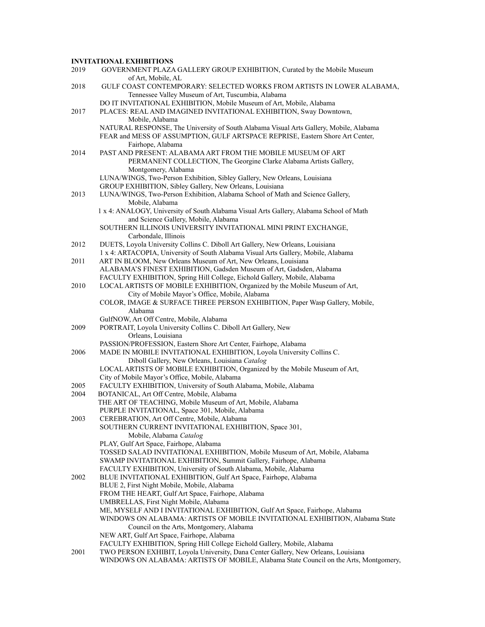## **INVITATIONAL EXHIBITIONS**

| 2019 | GOVERNMENT PLAZA GALLERY GROUP EXHIBITION, Curated by the Mobile Museum                                                           |
|------|-----------------------------------------------------------------------------------------------------------------------------------|
|      | of Art, Mobile, AL                                                                                                                |
| 2018 | GULF COAST CONTEMPORARY: SELECTED WORKS FROM ARTISTS IN LOWER ALABAMA,                                                            |
|      | Tennessee Valley Museum of Art, Tuscumbia, Alabama                                                                                |
|      | DO IT INVITATIONAL EXHIBITION, Mobile Museum of Art, Mobile, Alabama                                                              |
| 2017 | PLACES: REAL AND IMAGINED INVITATIONAL EXHIBITION, Sway Downtown,                                                                 |
|      | Mobile, Alabama                                                                                                                   |
|      | NATURAL RESPONSE, The University of South Alabama Visual Arts Gallery, Mobile, Alabama                                            |
|      | FEAR and MESS OF ASSUMPTION, GULF ARTSPACE REPRISE, Eastern Shore Art Center,                                                     |
| 2014 | Fairhope, Alabama                                                                                                                 |
|      | PAST AND PRESENT: ALABAMA ART FROM THE MOBILE MUSEUM OF ART<br>PERMANENT COLLECTION, The Georgine Clarke Alabama Artists Gallery, |
|      | Montgomery, Alabama                                                                                                               |
|      | LUNA/WINGS, Two-Person Exhibition, Sibley Gallery, New Orleans, Louisiana                                                         |
|      | GROUP EXHIBITION, Sibley Gallery, New Orleans, Louisiana                                                                          |
| 2013 | LUNA/WINGS, Two-Person Exhibition, Alabama School of Math and Science Gallery,                                                    |
|      | Mobile, Alabama                                                                                                                   |
|      | 1 x 4: ANALOGY, University of South Alabama Visual Arts Gallery, Alabama School of Math                                           |
|      | and Science Gallery, Mobile, Alabama                                                                                              |
|      | SOUTHERN ILLINOIS UNIVERSITY INVITATIONAL MINI PRINT EXCHANGE,                                                                    |
|      | Carbondale, Illinois                                                                                                              |
| 2012 | DUETS, Loyola University Collins C. Diboll Art Gallery, New Orleans, Louisiana                                                    |
|      | 1 x 4: ARTACOPIA, University of South Alabama Visual Arts Gallery, Mobile, Alabama                                                |
| 2011 | ART IN BLOOM, New Orleans Museum of Art, New Orleans, Louisiana                                                                   |
|      | ALABAMA'S FINEST EXHIBITION, Gadsden Museum of Art, Gadsden, Alabama                                                              |
|      | FACULTY EXHIBITION, Spring Hill College, Eichold Gallery, Mobile, Alabama                                                         |
| 2010 | LOCAL ARTISTS OF MOBILE EXHIBITION, Organized by the Mobile Museum of Art,                                                        |
|      | City of Mobile Mayor's Office, Mobile, Alabama                                                                                    |
|      | COLOR, IMAGE & SURFACE THREE PERSON EXHIBITION, Paper Wasp Gallery, Mobile,                                                       |
|      | Alabama                                                                                                                           |
|      | GulfNOW, Art Off Centre, Mobile, Alabama                                                                                          |
| 2009 | PORTRAIT, Loyola University Collins C. Diboll Art Gallery, New                                                                    |
|      | Orleans, Louisiana                                                                                                                |
|      | PASSION/PROFESSION, Eastern Shore Art Center, Fairhope, Alabama                                                                   |
| 2006 | MADE IN MOBILE INVITATIONAL EXHIBITION, Loyola University Collins C.                                                              |
|      | Diboll Gallery, New Orleans, Louisiana Catalog                                                                                    |
|      | LOCAL ARTISTS OF MOBILE EXHIBITION, Organized by the Mobile Museum of Art,                                                        |
|      | City of Mobile Mayor's Office, Mobile, Alabama                                                                                    |
| 2005 | FACULTY EXHIBITION, University of South Alabama, Mobile, Alabama                                                                  |
| 2004 | BOTANICAL, Art Off Centre, Mobile, Alabama                                                                                        |
|      | THE ART OF TEACHING, Mobile Museum of Art, Mobile, Alabama                                                                        |
|      | PURPLE INVITATIONAL, Space 301, Mobile, Alabama                                                                                   |
| 2003 | CEREBRATION, Art Off Centre, Mobile, Alabama                                                                                      |
|      | SOUTHERN CURRENT INVITATIONAL EXHIBITION, Space 301,<br>Mobile, Alabama Catalog                                                   |
|      | PLAY, Gulf Art Space, Fairhope, Alabama                                                                                           |
|      | TOSSED SALAD INVITATIONAL EXHIBITION, Mobile Museum of Art, Mobile, Alabama                                                       |
|      | SWAMP INVITATIONAL EXHIBITION, Summit Gallery, Fairhope, Alabama                                                                  |
|      | FACULTY EXHIBITION, University of South Alabama, Mobile, Alabama                                                                  |
| 2002 | BLUE INVITATIONAL EXHIBITION, Gulf Art Space, Fairhope, Alabama                                                                   |
|      | BLUE 2, First Night Mobile, Mobile, Alabama                                                                                       |
|      | FROM THE HEART, Gulf Art Space, Fairhope, Alabama                                                                                 |
|      | UMBRELLAS, First Night Mobile, Alabama                                                                                            |
|      | ME, MYSELF AND I INVITATIONAL EXHIBITION, Gulf Art Space, Fairhope, Alabama                                                       |
|      | WINDOWS ON ALABAMA: ARTISTS OF MOBILE INVITATIONAL EXHIBITION, Alabama State                                                      |
|      | Council on the Arts, Montgomery, Alabama                                                                                          |
|      | NEW ART, Gulf Art Space, Fairhope, Alabama                                                                                        |
|      | FACULTY EXHIBITION, Spring Hill College Eichold Gallery, Mobile, Alabama                                                          |
| 2001 | TWO PERSON EXHIBIT, Loyola University, Dana Center Gallery, New Orleans, Louisiana                                                |
|      | WINDOWS ON ALABAMA: ARTISTS OF MOBILE, Alabama State Council on the Arts, Montgomery,                                             |
|      |                                                                                                                                   |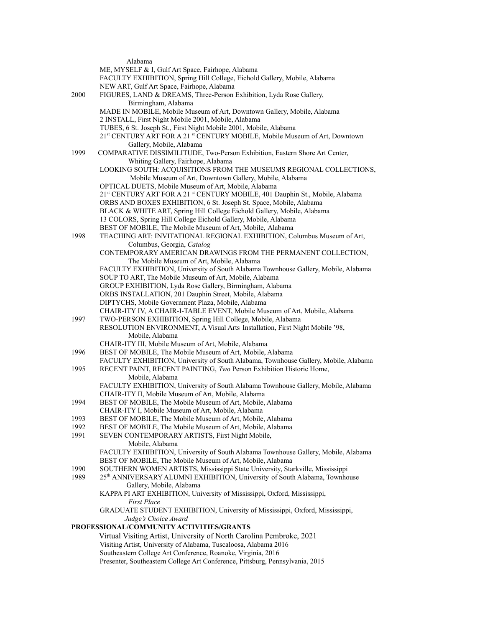|                                          | Alabama                                                                             |  |  |  |
|------------------------------------------|-------------------------------------------------------------------------------------|--|--|--|
|                                          | ME, MYSELF & I, Gulf Art Space, Fairhope, Alabama                                   |  |  |  |
|                                          | FACULTY EXHIBITION, Spring Hill College, Eichold Gallery, Mobile, Alabama           |  |  |  |
|                                          | NEW ART, Gulf Art Space, Fairhope, Alabama                                          |  |  |  |
| 2000                                     | FIGURES, LAND & DREAMS, Three-Person Exhibition, Lyda Rose Gallery,                 |  |  |  |
|                                          | Birmingham, Alabama                                                                 |  |  |  |
|                                          | MADE IN MOBILE, Mobile Museum of Art, Downtown Gallery, Mobile, Alabama             |  |  |  |
|                                          | 2 INSTALL, First Night Mobile 2001, Mobile, Alabama                                 |  |  |  |
|                                          | TUBES, 6 St. Joseph St., First Night Mobile 2001, Mobile, Alabama                   |  |  |  |
|                                          | 21st CENTURY ART FOR A 21st CENTURY MOBILE, Mobile Museum of Art, Downtown          |  |  |  |
|                                          | Gallery, Mobile, Alabama                                                            |  |  |  |
| 1999                                     | COMPARATIVE DISSIMILITUDE, Two-Person Exhibition, Eastern Shore Art Center,         |  |  |  |
|                                          | Whiting Gallery, Fairhope, Alabama                                                  |  |  |  |
|                                          | LOOKING SOUTH: ACQUISITIONS FROM THE MUSEUMS REGIONAL COLLECTIONS,                  |  |  |  |
|                                          | Mobile Museum of Art, Downtown Gallery, Mobile, Alabama                             |  |  |  |
|                                          | OPTICAL DUETS, Mobile Museum of Art, Mobile, Alabama                                |  |  |  |
|                                          | 21st CENTURY ART FOR A 21st CENTURY MOBILE, 401 Dauphin St., Mobile, Alabama        |  |  |  |
|                                          | ORBS AND BOXES EXHIBITION, 6 St. Joseph St. Space, Mobile, Alabama                  |  |  |  |
|                                          | BLACK & WHITE ART, Spring Hill College Eichold Gallery, Mobile, Alabama             |  |  |  |
|                                          | 13 COLORS, Spring Hill College Eichold Gallery, Mobile, Alabama                     |  |  |  |
|                                          | BEST OF MOBILE, The Mobile Museum of Art, Mobile, Alabama                           |  |  |  |
| 1998                                     | TEACHING ART: INVITATIONAL REGIONAL EXHIBITION, Columbus Museum of Art,             |  |  |  |
|                                          | Columbus, Georgia, Catalog                                                          |  |  |  |
|                                          | CONTEMPORARY AMERICAN DRAWINGS FROM THE PERMANENT COLLECTION,                       |  |  |  |
|                                          | The Mobile Museum of Art, Mobile, Alabama                                           |  |  |  |
|                                          | FACULTY EXHIBITION, University of South Alabama Townhouse Gallery, Mobile, Alabama  |  |  |  |
|                                          | SOUP TO ART, The Mobile Museum of Art, Mobile, Alabama                              |  |  |  |
|                                          | GROUP EXHIBITION, Lyda Rose Gallery, Birmingham, Alabama                            |  |  |  |
|                                          | ORBS INSTALLATION, 201 Dauphin Street, Mobile, Alabama                              |  |  |  |
|                                          | DIPTYCHS, Mobile Government Plaza, Mobile, Alabama                                  |  |  |  |
|                                          | CHAIR-ITY IV, A CHAIR-I-TABLE EVENT, Mobile Museum of Art, Mobile, Alabama          |  |  |  |
| 1997                                     | TWO-PERSON EXHIBITION, Spring Hill College, Mobile, Alabama                         |  |  |  |
|                                          | RESOLUTION ENVIRONMENT, A Visual Arts Installation, First Night Mobile '98,         |  |  |  |
|                                          | Mobile, Alabama                                                                     |  |  |  |
|                                          | CHAIR-ITY III, Mobile Museum of Art, Mobile, Alabama                                |  |  |  |
| 1996                                     | BEST OF MOBILE, The Mobile Museum of Art, Mobile, Alabama                           |  |  |  |
|                                          | FACULTY EXHIBITION, University of South Alabama, Townhouse Gallery, Mobile, Alabama |  |  |  |
| 1995                                     | RECENT PAINT, RECENT PAINTING, Two Person Exhibition Historic Home,                 |  |  |  |
|                                          | Mobile, Alabama                                                                     |  |  |  |
|                                          | FACULTY EXHIBITION, University of South Alabama Townhouse Gallery, Mobile, Alabama  |  |  |  |
|                                          | CHAIR-ITY II, Mobile Museum of Art, Mobile, Alabama                                 |  |  |  |
| 1994                                     | BEST OF MOBILE, The Mobile Museum of Art, Mobile, Alabama                           |  |  |  |
|                                          | CHAIR-ITY I, Mobile Museum of Art, Mobile, Alabama                                  |  |  |  |
| 1993                                     | BEST OF MOBILE, The Mobile Museum of Art, Mobile, Alabama                           |  |  |  |
| 1992                                     | BEST OF MOBILE, The Mobile Museum of Art, Mobile, Alabama                           |  |  |  |
| 1991                                     | SEVEN CONTEMPORARY ARTISTS, First Night Mobile,                                     |  |  |  |
|                                          | Mobile, Alabama                                                                     |  |  |  |
|                                          | FACULTY EXHIBITION, University of South Alabama Townhouse Gallery, Mobile, Alabama  |  |  |  |
|                                          | BEST OF MOBILE, The Mobile Museum of Art, Mobile, Alabama                           |  |  |  |
| 1990                                     | SOUTHERN WOMEN ARTISTS, Mississippi State University, Starkville, Mississippi       |  |  |  |
| 1989                                     | 25th ANNIVERSARY ALUMNI EXHIBITION, University of South Alabama, Townhouse          |  |  |  |
|                                          | Gallery, Mobile, Alabama                                                            |  |  |  |
|                                          | KAPPA PI ART EXHIBITION, University of Mississippi, Oxford, Mississippi,            |  |  |  |
|                                          | <b>First Place</b>                                                                  |  |  |  |
|                                          | GRADUATE STUDENT EXHIBITION, University of Mississippi, Oxford, Mississippi,        |  |  |  |
|                                          | Judge's Choice Award                                                                |  |  |  |
| PROFESSIONAL/COMMUNITY ACTIVITIES/GRANTS |                                                                                     |  |  |  |
|                                          | Virtual Visiting Artist, University of North Carolina Pembroke, 2021                |  |  |  |
|                                          | Visiting Artist, University of Alabama, Tuscaloosa, Alabama 2016                    |  |  |  |
|                                          | Southeastern College Art Conference, Roanoke, Virginia, 2016                        |  |  |  |
|                                          | Presenter, Southeastern College Art Conference, Pittsburg, Pennsylvania, 2015       |  |  |  |